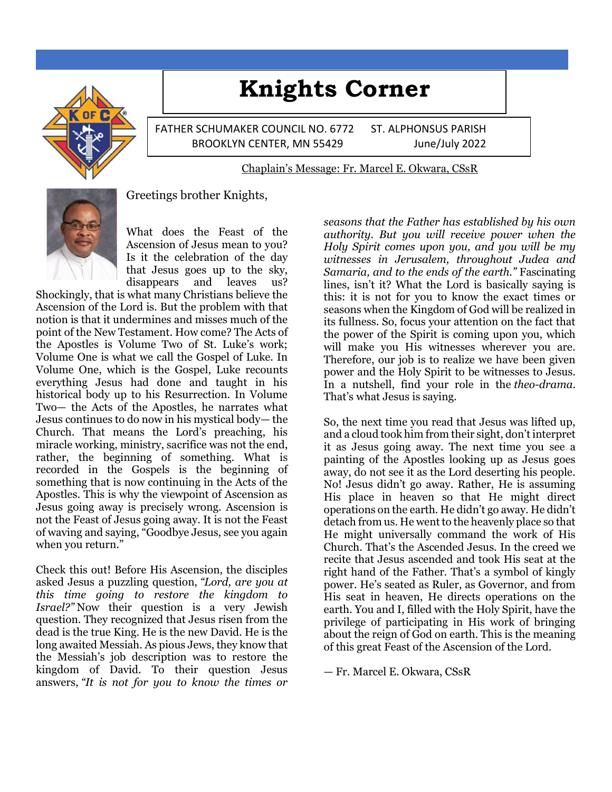# **Knights Corner**



FATHER SCHUMAKER COUNCIL NO. 6772 ST. ALPHONSUS PARISH BROOKLYN CENTER, MN 55429 June/July 2022

#### Chaplain's Message: Fr. Marcel E. Okwara, CSsR



Greetings brother Knights,

What does the Feast of the Ascension of Jesus mean to you? Is it the celebration of the day that Jesus goes up to the sky, disappears and leaves us?

Shockingly, that is what many Christians believe the Ascension of the Lord is. But the problem with that notion is that it undermines and misses much of the point of the New Testament. How come? The Acts of the Apostles is Volume Two of St. Luke's work; Volume One is what we call the Gospel of Luke. In Volume One, which is the Gospel, Luke recounts everything Jesus had done and taught in his historical body up to his Resurrection. In Volume Two— the Acts of the Apostles, he narrates what Jesus continues to do now in his mystical body— the Church. That means the Lord's preaching, his miracle working, ministry, sacrifice was not the end, rather, the beginning of something. What is recorded in the Gospels is the beginning of something that is now continuing in the Acts of the Apostles. This is why the viewpoint of Ascension as Jesus going away is precisely wrong. Ascension is not the Feast of Jesus going away. It is not the Feast of waving and saying, "Goodbye Jesus, see you again when you return."

Check this out! Before His Ascension, the disciples asked Jesus a puzzling question, *"Lord, are you at this time going to restore the kingdom to Israel?"* Now their question is a very Jewish question. They recognized that Jesus risen from the dead is the true King. He is the new David. He is the long awaited Messiah. As pious Jews, they know that the Messiah's job description was to restore the kingdom of David. To their question Jesus answers, *"It is not for you to know the times or* 

*seasons that the Father has established by his own authority. But you will receive power when the Holy Spirit comes upon you, and you will be my witnesses in Jerusalem, throughout Judea and Samaria, and to the ends of the earth."* Fascinating lines, isn't it? What the Lord is basically saying is this: it is not for you to know the exact times or seasons when the Kingdom of God will be realized in its fullness. So, focus your attention on the fact that the power of the Spirit is coming upon you, which will make you His witnesses wherever you are. Therefore, our job is to realize we have been given power and the Holy Spirit to be witnesses to Jesus. In a nutshell, find your role in the *theo-drama*. That's what Jesus is saying.

So, the next time you read that Jesus was lifted up, and a cloud took him from their sight, don't interpret it as Jesus going away. The next time you see a painting of the Apostles looking up as Jesus goes away, do not see it as the Lord deserting his people. No! Jesus didn't go away. Rather, He is assuming His place in heaven so that He might direct operations on the earth. He didn't go away. He didn't detach from us. He went to the heavenly place so that He might universally command the work of His Church. That's the Ascended Jesus. In the creed we recite that Jesus ascended and took His seat at the right hand of the Father. That's a symbol of kingly power. He's seated as Ruler, as Governor, and from His seat in heaven, He directs operations on the earth. You and I, filled with the Holy Spirit, have the privilege of participating in His work of bringing about the reign of God on earth. This is the meaning of this great Feast of the Ascension of the Lord.

— Fr. Marcel E. Okwara, CSsR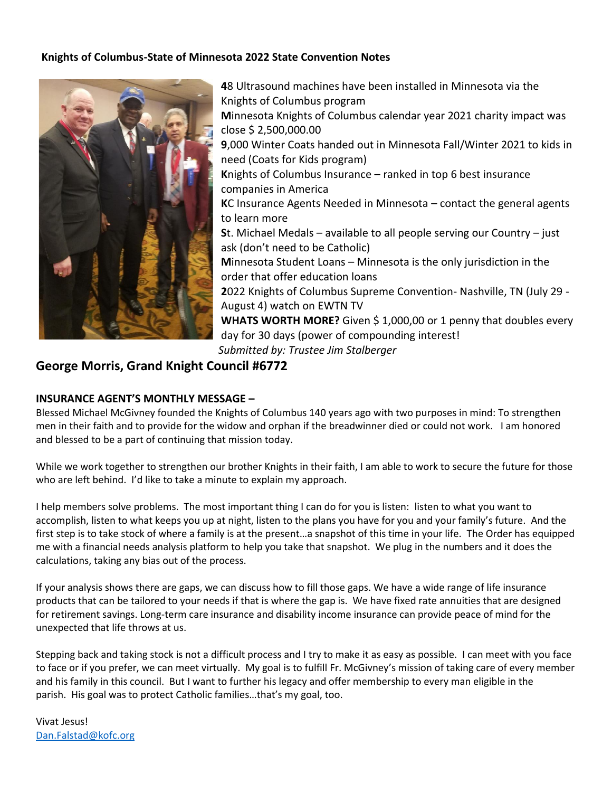#### **Knights of Columbus-State of Minnesota 2022 State Convention Notes**



**4**8 Ultrasound machines have been installed in Minnesota via the Knights of Columbus program **M**innesota Knights of Columbus calendar year 2021 charity impact was close \$ 2,500,000.00 **9**,000 Winter Coats handed out in Minnesota Fall/Winter 2021 to kids in need (Coats for Kids program) **K**nights of Columbus Insurance – ranked in top 6 best insurance companies in America **K**C Insurance Agents Needed in Minnesota – contact the general agents to learn more **S**t. Michael Medals – available to all people serving our Country – just ask (don't need to be Catholic) **M**innesota Student Loans – Minnesota is the only jurisdiction in the order that offer education loans **2**022 Knights of Columbus Supreme Convention- Nashville, TN (July 29 - August 4) watch on EWTN TV **WHATS WORTH MORE?** Given \$ 1,000,00 or 1 penny that doubles every day for 30 days (power of compounding interest! *Submitted by: Trustee Jim Stalberger*

# **George Morris, Grand Knight Council #6772**

#### **INSURANCE AGENT'S MONTHLY MESSAGE –**

Blessed Michael McGivney founded the Knights of Columbus 140 years ago with two purposes in mind: To strengthen men in their faith and to provide for the widow and orphan if the breadwinner died or could not work. I am honored and blessed to be a part of continuing that mission today.

While we work together to strengthen our brother Knights in their faith, I am able to work to secure the future for those who are left behind. I'd like to take a minute to explain my approach.

I help members solve problems. The most important thing I can do for you is listen: listen to what you want to accomplish, listen to what keeps you up at night, listen to the plans you have for you and your family's future. And the first step is to take stock of where a family is at the present…a snapshot of this time in your life. The Order has equipped me with a financial needs analysis platform to help you take that snapshot. We plug in the numbers and it does the calculations, taking any bias out of the process.

If your analysis shows there are gaps, we can discuss how to fill those gaps. We have a wide range of life insurance products that can be tailored to your needs if that is where the gap is. We have fixed rate annuities that are designed for retirement savings. Long-term care insurance and disability income insurance can provide peace of mind for the unexpected that life throws at us.

Stepping back and taking stock is not a difficult process and I try to make it as easy as possible. I can meet with you face to face or if you prefer, we can meet virtually. My goal is to fulfill Fr. McGivney's mission of taking care of every member and his family in this council. But I want to further his legacy and offer membership to every man eligible in the parish. His goal was to protect Catholic families…that's my goal, too.

Vivat Jesus! [Dan.Falstad@kofc.org](mailto:Dan.Falstad@kofc.org)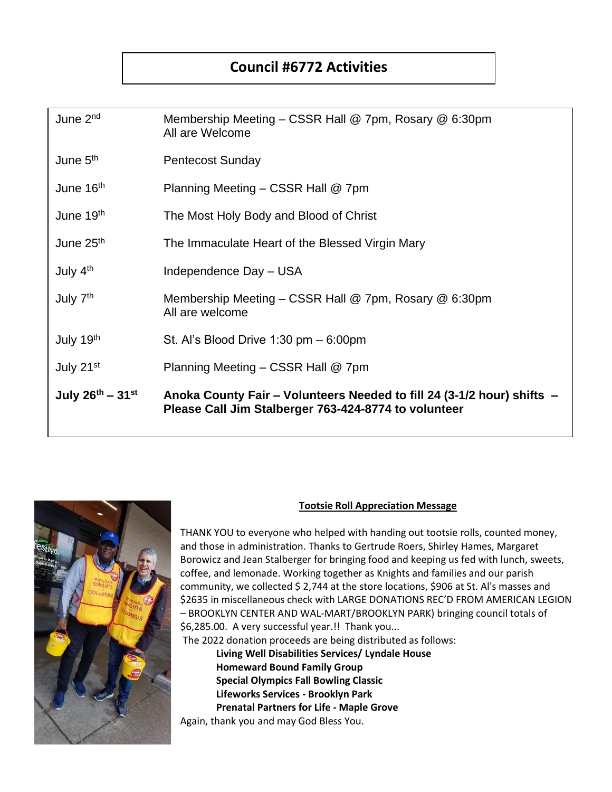# **Council #6772 Activities**

| June 2 <sup>nd</sup>     | Membership Meeting $-$ CSSR Hall @ 7pm, Rosary @ 6:30pm<br>All are Welcome                                                     |
|--------------------------|--------------------------------------------------------------------------------------------------------------------------------|
| June 5 <sup>th</sup>     | <b>Pentecost Sunday</b>                                                                                                        |
| June 16 <sup>th</sup>    | Planning Meeting – CSSR Hall @ 7pm                                                                                             |
| June 19th                | The Most Holy Body and Blood of Christ                                                                                         |
| June $25th$              | The Immaculate Heart of the Blessed Virgin Mary                                                                                |
| July 4 <sup>th</sup>     | Independence Day - USA                                                                                                         |
| July 7 <sup>th</sup>     | Membership Meeting – CSSR Hall @ 7pm, Rosary @ 6:30pm<br>All are welcome                                                       |
| July 19th                | St. Al's Blood Drive $1:30$ pm $-6:00$ pm                                                                                      |
| July 21 <sup>st</sup>    | Planning Meeting – CSSR Hall @ 7pm                                                                                             |
| July $26^{th} - 31^{st}$ | Anoka County Fair – Volunteers Needed to fill 24 (3-1/2 hour) shifts –<br>Please Call Jim Stalberger 763-424-8774 to volunteer |



#### **Tootsie Roll Appreciation Message**

THANK YOU to everyone who helped with handing out tootsie rolls, counted money, and those in administration. Thanks to Gertrude Roers, Shirley Hames, Margaret Borowicz and Jean Stalberger for bringing food and keeping us fed with lunch, sweets, coffee, and lemonade. Working together as Knights and families and our parish community, we collected \$ 2,744 at the store locations, \$906 at St. Al's masses and \$2635 in miscellaneous check with LARGE DONATIONS REC'D FROM AMERICAN LEGION – BROOKLYN CENTER AND WAL-MART/BROOKLYN PARK) bringing council totals of \$6,285.00. A very successful year.!! Thank you...

The 2022 donation proceeds are being distributed as follows:

**Living Well Disabilities Services/ Lyndale House Homeward Bound Family Group Special Olympics Fall Bowling Classic Lifeworks Services - Brooklyn Park Prenatal Partners for Life - Maple Grove** Again, thank you and may God Bless You.